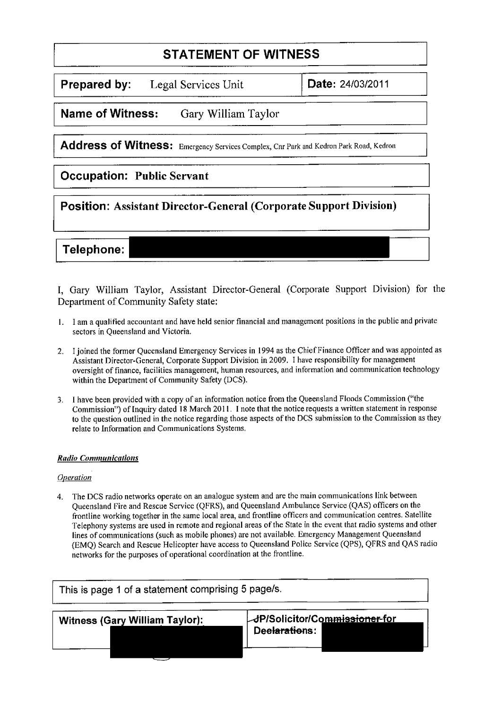# **STATEMENT OF WITNESS**

**Prepared by:** Legal Services Unit | Date: 24/03/2011

**Name of Witness:** Gary William Taylor

Address of Witness: Emergency Services Complex, Cnr Park and Kedron Park Road, Kedron

### **Occupation: Public Servant**

**Position: Assistant Director-General (Corporate Support Division)**

## Telephone:

I, Gary William Taylor, Assistant Director-General (Corporate Support Division) for the Department of Community Safety state:

- I. I am a qualified accountant and have held senior financial and management positions in the public and private sectors in Queensland and Victoria.
- 2. I joined the former Queensland Emergency Services in 1994 as the Chief Finance Officer and was appointed as Assistant Director-General, Corporate Support Division in 2009. I have responsibility for management oversight of finance, facilities management, human resources, and information and communication technology within the Department of Community Safety (DCS).
- 3. I have been provided with a copy of an information notice from the Queensland Floods Commission ("the Commission") of Inquiry dated 18 March 2011. I note that the notice requests a written statement in response to the question outlined in the notice regarding those aspects of the DCS submission to the Commission as they relate to Information and Communications Systems.

### *Radio Communications*

#### *Operation*

4. The DCS radio networks operate on an analogue system and are the main communications link between Queensland Fire and Rescue Service (QFRS), and Queensland Ambulance Service (QAS) officers on the frontline working together in the same local area, and frontline officers and communication centres. Satellite Telephony systems are used in remote and regional areas of the State in the event that radio systems and other lines of communications (such as mobile phones) are not available. Emergency Management Queensland (EMQ) Search and Rescue Helicopter have access to Queensland Police Service (QPS), QFRS and QAS radio networks for the purposes of operational coordination at the frontline.

| This is page 1 of a statement comprising 5 page/s. |                                                                  |
|----------------------------------------------------|------------------------------------------------------------------|
| <b>Witness (Gary William Taylor):</b>              | <b>JP/Solicitor/Commi<del>ssioner f</del>or</b><br>Deelarations: |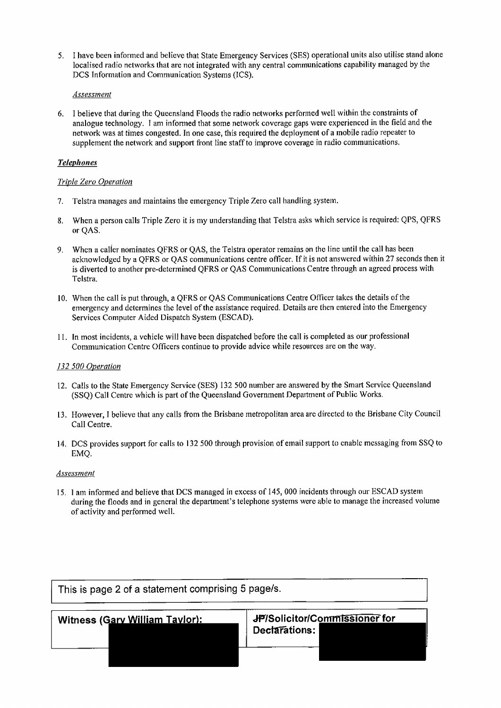5. I have been informed and believe that State Emergency Services (SES) operational units also utilise stand alone localised radio networks that are not integrated with any central communications capability managed by the DCS Information and Communication Systems (ICS).

#### *Assessment*

6. I believe that during the Queensland Floods the radio networks performed well within the constraints of analogue technology. I am informed that some network coverage gaps were experienced in the field and the network was at times congested. In one case, this required the deployment of a mobile radio repeater to supplement the network and support front line staff to improve coverage in radio communications.

#### *Telepho*► *es*

#### *Triple Zero Operation*

- 7. Telstra manages and maintains the emergency Triple Zero call handling system.
- 8. When a person calls Triple Zero it is my understanding that Telstra asks which service is required: QPS, QFRS or QAS.
- 9. When a caller nominates QFRS or QAS, the Telstra operator remains on the line until the call has been acknowledged by a QFRS or QAS communications centre officer. If it is not answered within 27 seconds then it is diverted to another pre-determined QFRS or QAS Communications Centre through an agreed process with Telstra.
- 10. When the call is put through, a QFRS or QAS Communications Centre Officer takes the details of the emergency and determines the level of the assistance required. Details are then entered into the Emergency Services Computer Aided Dispatch System (ESCAD).
- 11. In most incidents, a vehicle will have been dispatched before the call is completed as our professional Communication Centre Officers continue to provide advice while resources are on the way.

#### *132 500 Operation*

- 12. Calls to the State Emergency Service (SES) 132 500 number are answered by the Smart Service Queensland (SSQ) Call Centre which is part of the Queensland Government Department of Public Works.
- 13. However, I believe that any calls from the Brisbane metropolitan area are directed to the Brisbane City Council Call Centre.
- 14. DCS provides support for calls to 132 500 through provision of email support to enable messaging from SSQ to EMQ.

#### *Assessment*

15. 1 am informed and believe that DCS managed in excess of 145, 000 incidents through our ESCAD system during the floods and in general the department's telephone systems were able to manage the increased volume of activity and performed well.

| This is page 2 of a statement comprising 5 page/s. |                                                |  |
|----------------------------------------------------|------------------------------------------------|--|
| Witness (Gary William Taylor):                     | JP/Solicitor/Commissioner for<br>Declarations: |  |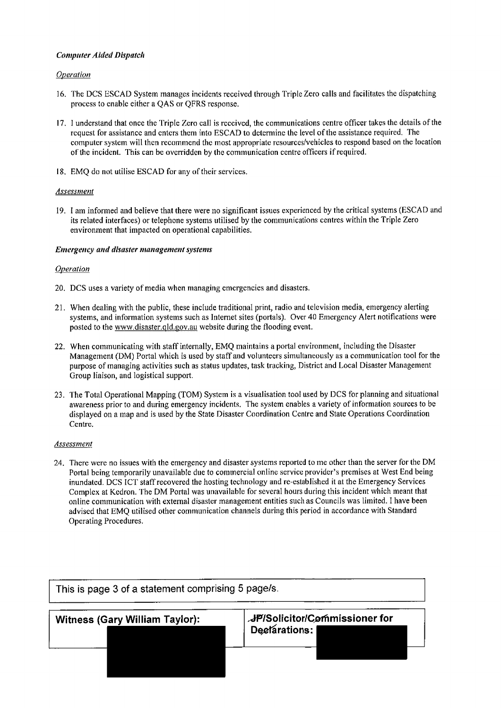#### *Computer Aided Dispatch*

#### *Operation*

- 16. The DCS ESCAD System manages incidents received through Triple Zero calls and facilitates the dispatching process to enable either a QAS or QFRS response.
- 17. I understand that once the Triple Zero call is received, the communications centre officer takes the details of the request for assistance and enters them into ESCAD to determine the level of the assistance required. The computer system will then recommend the most appropriate resources/vehicles to respond based on the location of the incident. This can be overridden by the communication centre officers if required.
- 18. EMQ do not utilise ESCAD for any of their services.

#### *Assessment*

19. I am informed and believe that there were no significant issues experienced by the critical systems (ESCAD and its related interfaces) or telephone systems utilised by the communications centres within the Triple Zero environment that impacted on operational capabilities.

#### *Emergency a*► *d disaster management systems*

#### *Operation*

- 20. DCS uses a variety of media when managing emergencies and disasters.
- 21. When dealing with the public, these include traditional print, radio and television media, emergency alerting systems, and information systems such as Internet sites (portals). Over 40 Emergency Alert notifications were posted to the www,disaster.q1d.gov.au website during the flooding event.
- 22. When communicating with staff internally, EMQ maintains a portal environment, including the Disaster Management (DM) Portal which is used by staff and volunteers simultaneously as a communication tool for the purpose of managing activities such as status updates, task tracking, District and Local Disaster Management Group liaison, and logistical support.
- 23. The Total Operational Mapping (TOM) System is a visualisation tool used by DCS for planning and situational awareness prior to and during emergency incidents. The system enables a variety of information sources to be displayed on a map and is used by the State Disaster Coordination Centre and State Operations Coordination Centre.

#### *Assessment*

24. There were no issues with the emergency and disaster systems reported to me other than the server for the DM Portal being temporarily unavailable due to commercial online service provider's premises at West End being inundated. DCS ICT staff recovered the hosting technology and re-established it at the Emergency Services Complex at Kedron. The DM Portal was unavailable for several hours during this incident which meant that online communication with external disaster management entities such as Councils was limited. I have been advised that EMQ utilised other communication channels during this period in accordance with Standard Operating Procedures.

| This is page 3 of a statement comprising 5 page/s. |                                                       |
|----------------------------------------------------|-------------------------------------------------------|
| <b>Witness (Gary William Taylor):</b>              | <b>JP/Solicitor/Commissioner for</b><br>Declarations: |
|                                                    |                                                       |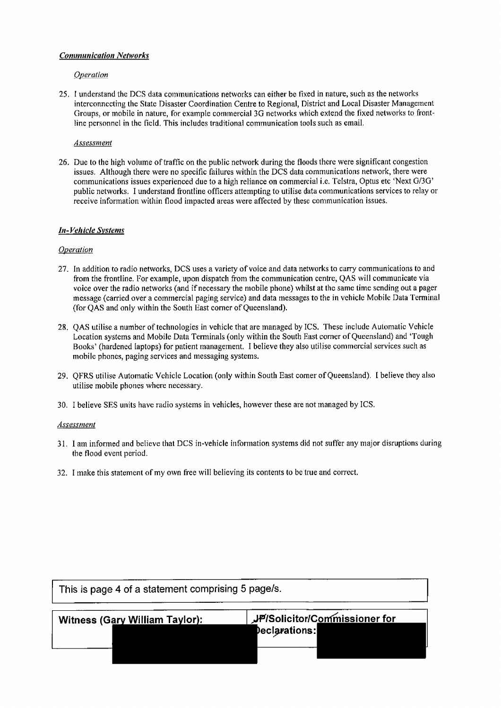#### *Communication Networks*

#### *Operation*

25. I understand the DCS data communications networks can either be fixed in nature, such as the networks interconnecting the State Disaster Coordination Centre to Regional, District and Local Disaster Management Groups, or mobile in nature, for example commercial 3G networks which extend the fixed networks to frontline personnel in the field. This includes traditional communication tools such as email.

#### *Assessment*

26. Due to the high volume of traffic on the public network during the floods there were significant congestion issues. Although there were no specific failures within the DCS data communications network, there were communications issues experienced due to a high reliance on commercial i.e. Telstra, Optus etc 'Next G/3G' public networks. I understand frontline officers attempting to utilise data communications services to relay or receive information within flood impacted areas were affected by these communication issues.

#### *ht-Vehicle Systems*

#### *Operation*

- 27. In addition to radio networks, DCS uses a variety of voice and data networks to carry communications to and from the frontline. For example, upon dispatch from the communication centre, QAS will communicate via voice over the radio networks (and if necessary the mobile phone) whilst at the same time sending out a pager message (carried over a commercial paging service) and data messages to the in vehicle Mobile Data Terminal (for QAS and only within the South East corner of Queensland).
- 28. QAS utilise a number of technologies in vehicle that are managed by ICS. These include Automatic Vehicle Location systems and Mobile Data Terminals (only within the South East corner of Queensland) and 'Tough Books' (hardened laptops) for patient management. I believe they also utilise commercial services such as mobile phones, paging services and messaging systems.
- 29. QFRS utilise Automatic Vehicle Location (only within South East corner of Queensland). I believe they also utilise mobile phones where necessary.
- 30. I believe SES units have radio systems in vehicles, however these are not managed by ICS.

#### *Assessment*

- 31. 1 am informed and believe that DCS in-vehicle information systems did not suffer any major disruptions during the flood event period.
- 32. I make this statement of my own free will believing its contents to be true and correct.

| This is page 4 of a statement comprising 5 page/s. |                                                              |
|----------------------------------------------------|--------------------------------------------------------------|
| <b>Witness (Gary William Taylor):</b>              | <b>JP/Solicitor/Commissioner for</b><br><b>Declarations:</b> |